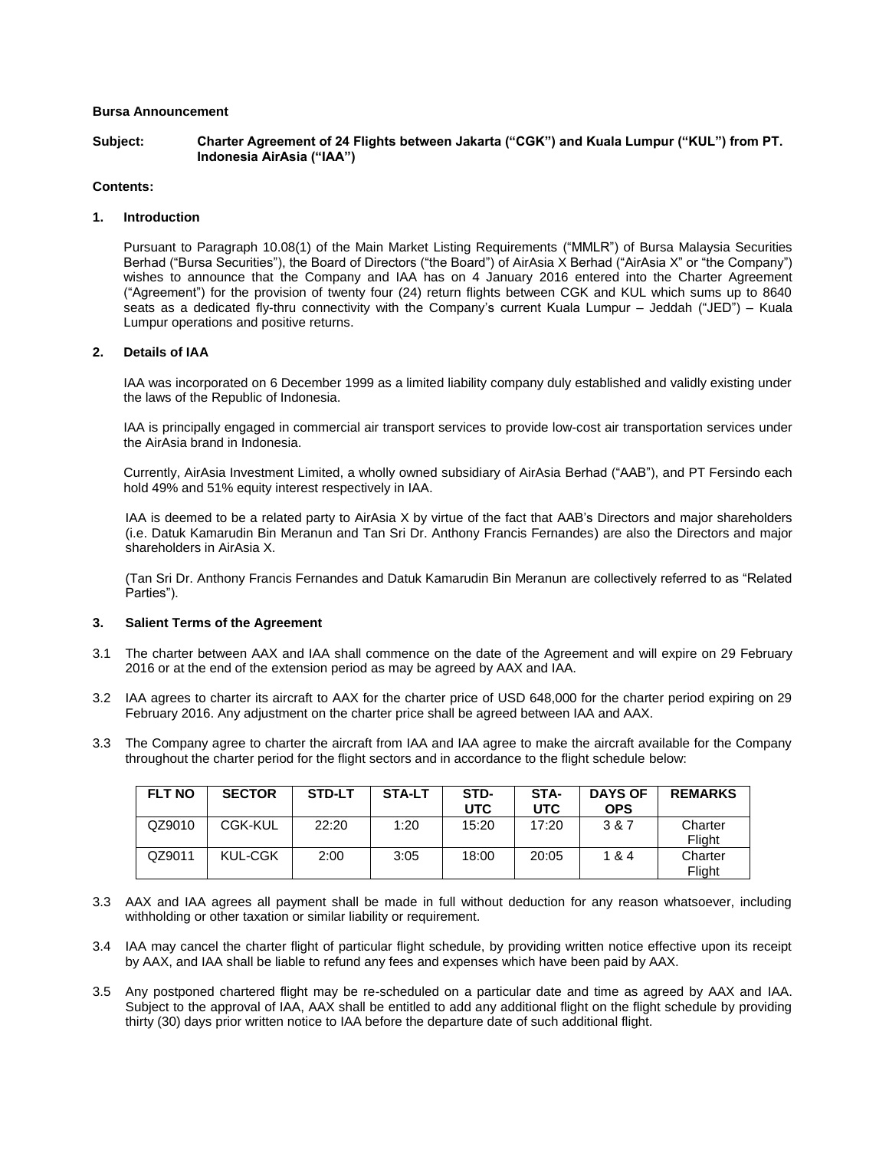## **Bursa Announcement**

**Subject: Charter Agreement of 24 Flights between Jakarta ("CGK") and Kuala Lumpur ("KUL") from PT. Indonesia AirAsia ("IAA")**

## **Contents:**

## **1. Introduction**

Pursuant to Paragraph 10.08(1) of the Main Market Listing Requirements ("MMLR") of Bursa Malaysia Securities Berhad ("Bursa Securities"), the Board of Directors ("the Board") of AirAsia X Berhad ("AirAsia X" or "the Company") wishes to announce that the Company and IAA has on 4 January 2016 entered into the Charter Agreement ("Agreement") for the provision of twenty four (24) return flights between CGK and KUL which sums up to 8640 seats as a dedicated fly-thru connectivity with the Company's current Kuala Lumpur – Jeddah ("JED") – Kuala Lumpur operations and positive returns.

## **2. Details of IAA**

IAA was incorporated on 6 December 1999 as a limited liability company duly established and validly existing under the laws of the Republic of Indonesia.

IAA is principally engaged in commercial air transport services to provide low-cost air transportation services under the AirAsia brand in Indonesia.

Currently, AirAsia Investment Limited, a wholly owned subsidiary of AirAsia Berhad ("AAB"), and PT Fersindo each hold 49% and 51% equity interest respectively in IAA.

IAA is deemed to be a related party to AirAsia X by virtue of the fact that AAB's Directors and major shareholders (i.e. Datuk Kamarudin Bin Meranun and Tan Sri Dr. Anthony Francis Fernandes) are also the Directors and major shareholders in AirAsia X.

(Tan Sri Dr. Anthony Francis Fernandes and Datuk Kamarudin Bin Meranun are collectively referred to as "Related Parties").

# **3. Salient Terms of the Agreement**

- 3.1 The charter between AAX and IAA shall commence on the date of the Agreement and will expire on 29 February 2016 or at the end of the extension period as may be agreed by AAX and IAA.
- 3.2 IAA agrees to charter its aircraft to AAX for the charter price of USD 648,000 for the charter period expiring on 29 February 2016. Any adjustment on the charter price shall be agreed between IAA and AAX.
- 3.3 The Company agree to charter the aircraft from IAA and IAA agree to make the aircraft available for the Company throughout the charter period for the flight sectors and in accordance to the flight schedule below:

| <b>FLT NO</b> | <b>SECTOR</b>  | STD-LT | <b>STA-LT</b> | STD-<br><b>UTC</b> | STA-<br><b>UTC</b> | <b>DAYS OF</b><br><b>OPS</b> | <b>REMARKS</b>    |
|---------------|----------------|--------|---------------|--------------------|--------------------|------------------------------|-------------------|
| QZ9010        | CGK-KUL        | 22:20  | 1:20          | 15:20              | 17:20              | 3 & 7                        | Charter<br>Flight |
| QZ9011        | <b>KUL-CGK</b> | 2:00   | 3:05          | 18:00              | 20:05              | 1 & 4                        | Charter<br>Flight |

- 3.3 AAX and IAA agrees all payment shall be made in full without deduction for any reason whatsoever, including withholding or other taxation or similar liability or requirement.
- 3.4 IAA may cancel the charter flight of particular flight schedule, by providing written notice effective upon its receipt by AAX, and IAA shall be liable to refund any fees and expenses which have been paid by AAX.
- 3.5 Any postponed chartered flight may be re-scheduled on a particular date and time as agreed by AAX and IAA. Subject to the approval of IAA, AAX shall be entitled to add any additional flight on the flight schedule by providing thirty (30) days prior written notice to IAA before the departure date of such additional flight.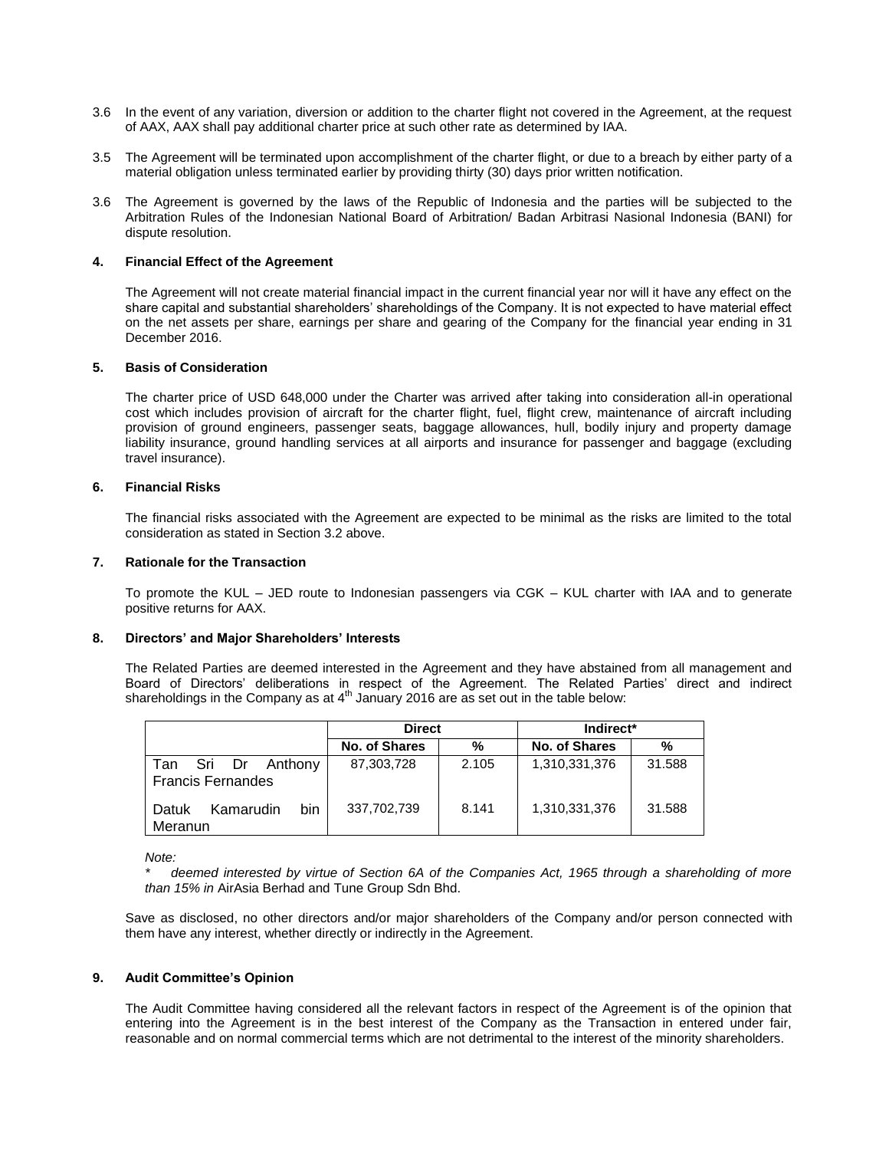- 3.6 In the event of any variation, diversion or addition to the charter flight not covered in the Agreement, at the request of AAX, AAX shall pay additional charter price at such other rate as determined by IAA.
- 3.5 The Agreement will be terminated upon accomplishment of the charter flight, or due to a breach by either party of a material obligation unless terminated earlier by providing thirty (30) days prior written notification.
- 3.6 The Agreement is governed by the laws of the Republic of Indonesia and the parties will be subjected to the Arbitration Rules of the Indonesian National Board of Arbitration/ Badan Arbitrasi Nasional Indonesia (BANI) for dispute resolution.

## **4. Financial Effect of the Agreement**

The Agreement will not create material financial impact in the current financial year nor will it have any effect on the share capital and substantial shareholders' shareholdings of the Company. It is not expected to have material effect on the net assets per share, earnings per share and gearing of the Company for the financial year ending in 31 December 2016.

#### **5. Basis of Consideration**

The charter price of USD 648,000 under the Charter was arrived after taking into consideration all-in operational cost which includes provision of aircraft for the charter flight, fuel, flight crew, maintenance of aircraft including provision of ground engineers, passenger seats, baggage allowances, hull, bodily injury and property damage liability insurance, ground handling services at all airports and insurance for passenger and baggage (excluding travel insurance).

## **6. Financial Risks**

The financial risks associated with the Agreement are expected to be minimal as the risks are limited to the total consideration as stated in Section 3.2 above.

#### **7. Rationale for the Transaction**

To promote the KUL – JED route to Indonesian passengers via CGK – KUL charter with IAA and to generate positive returns for AAX.

## **8. Directors' and Major Shareholders' Interests**

The Related Parties are deemed interested in the Agreement and they have abstained from all management and Board of Directors' deliberations in respect of the Agreement. The Related Parties' direct and indirect shareholdings in the Company as at  $4<sup>th</sup>$  January 2016 are as set out in the table below:

|                                                      | <b>Direct</b> |       | Indirect*     |        |  |
|------------------------------------------------------|---------------|-------|---------------|--------|--|
|                                                      | No. of Shares | %     | No. of Shares | %      |  |
| Sri Dr<br>Anthony<br>Tan<br><b>Francis Fernandes</b> | 87,303,728    | 2.105 | 1,310,331,376 | 31.588 |  |
| bin<br>Kamarudin<br>Datuk<br>Meranun                 | 337,702,739   | 8.141 | 1,310,331,376 | 31.588 |  |

*Note:*

*\* deemed interested by virtue of Section 6A of the Companies Act, 1965 through a shareholding of more than 15% in* AirAsia Berhad and Tune Group Sdn Bhd.

Save as disclosed, no other directors and/or major shareholders of the Company and/or person connected with them have any interest, whether directly or indirectly in the Agreement.

#### **9. Audit Committee's Opinion**

The Audit Committee having considered all the relevant factors in respect of the Agreement is of the opinion that entering into the Agreement is in the best interest of the Company as the Transaction in entered under fair, reasonable and on normal commercial terms which are not detrimental to the interest of the minority shareholders.